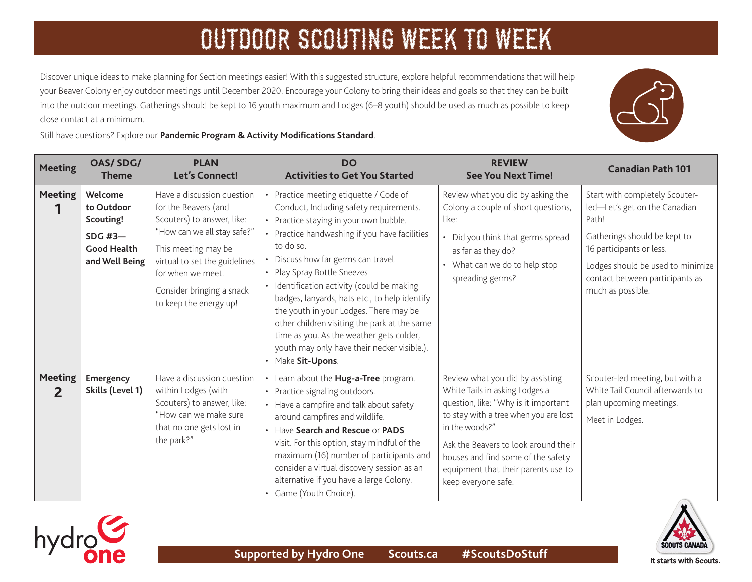Discover unique ideas to make planning for Section meetings easier! With this suggested structure, explore helpful recommendations that will help your Beaver Colony enjoy outdoor meetings until December 2020. Encourage your Colony to bring their ideas and goals so that they can be built into the outdoor meetings. Gatherings should be kept to 16 youth maximum and Lodges (6–8 youth) should be used as much as possible to keep close contact at a minimum.

Still have questions? Explore our **[Pandemic Program & Activity Modifications Standard](https://www.scouts.ca/resources/bpp/policies/pandemic-program-modification-standards.html)**.

| <b>Meeting</b>      | <b>OAS/SDG/</b><br><b>Theme</b>                                                              | <b>PLAN</b><br>Let's Connect!                                                                                                                                                                                                                       | <b>DO</b><br><b>Activities to Get You Started</b>                                                                                                                                                                                                                                                                                                                                                                                                                                                                                                                        | <b>REVIEW</b><br><b>See You Next Time!</b>                                                                                                                                                                                                                                                                        | <b>Canadian Path 101</b>                                                                                                                                                                                                          |
|---------------------|----------------------------------------------------------------------------------------------|-----------------------------------------------------------------------------------------------------------------------------------------------------------------------------------------------------------------------------------------------------|--------------------------------------------------------------------------------------------------------------------------------------------------------------------------------------------------------------------------------------------------------------------------------------------------------------------------------------------------------------------------------------------------------------------------------------------------------------------------------------------------------------------------------------------------------------------------|-------------------------------------------------------------------------------------------------------------------------------------------------------------------------------------------------------------------------------------------------------------------------------------------------------------------|-----------------------------------------------------------------------------------------------------------------------------------------------------------------------------------------------------------------------------------|
| <b>Meeting</b>      | Welcome<br>to Outdoor<br>Scouting!<br><b>SDG #3-</b><br><b>Good Health</b><br>and Well Being | Have a discussion question<br>for the Beavers (and<br>Scouters) to answer, like:<br>"How can we all stay safe?"<br>This meeting may be<br>virtual to set the guidelines<br>for when we meet.<br>Consider bringing a snack<br>to keep the energy up! | • Practice meeting etiquette / Code of<br>Conduct, Including safety requirements.<br>• Practice staying in your own bubble.<br>• Practice handwashing if you have facilities<br>to do so.<br>• Discuss how far germs can travel.<br>• Play Spray Bottle Sneezes<br>• Identification activity (could be making<br>badges, lanyards, hats etc., to help identify<br>the youth in your Lodges. There may be<br>other children visiting the park at the same<br>time as you. As the weather gets colder,<br>youth may only have their necker visible.).<br>• Make Sit-Upons. | Review what you did by asking the<br>Colony a couple of short questions,<br>like:<br>• Did you think that germs spread<br>as far as they do?<br>• What can we do to help stop<br>spreading germs?                                                                                                                 | Start with completely Scouter-<br>led-Let's get on the Canadian<br>Path!<br>Gatherings should be kept to<br>16 participants or less.<br>Lodges should be used to minimize<br>contact between participants as<br>much as possible. |
| <b>Meeting</b><br>2 | <b>Emergency</b><br>Skills (Level 1)                                                         | Have a discussion question<br>within Lodges (with<br>Scouters) to answer, like:<br>"How can we make sure<br>that no one gets lost in<br>the park?"                                                                                                  | • Learn about the Hug-a-Tree program.<br>• Practice signaling outdoors.<br>• Have a campfire and talk about safety<br>around campfires and wildlife.<br>• Have Search and Rescue or PADS<br>visit. For this option, stay mindful of the<br>maximum (16) number of participants and<br>consider a virtual discovery session as an<br>alternative if you have a large Colony.<br>• Game (Youth Choice).                                                                                                                                                                    | Review what you did by assisting<br>White Tails in asking Lodges a<br>question, like: "Why is it important<br>to stay with a tree when you are lost<br>in the woods?"<br>Ask the Beavers to look around their<br>houses and find some of the safety<br>equipment that their parents use to<br>keep everyone safe. | Scouter-led meeting, but with a<br>White Tail Council afterwards to<br>plan upcoming meetings.<br>Meet in Lodges.                                                                                                                 |



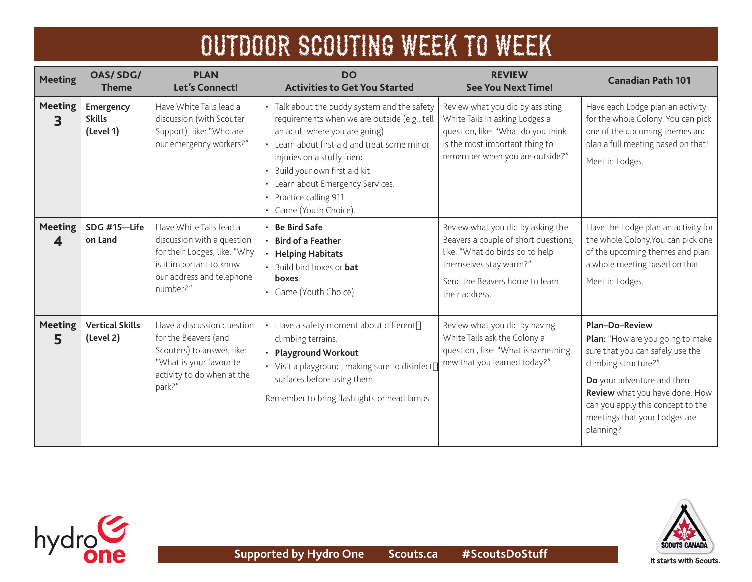| <b>Meeting</b>      | <b>OAS/SDG/</b><br><b>Theme</b>         | <b>PLAN</b><br><b>Let's Connect!</b>                                                                                                                      | <b>DO</b><br><b>Activities to Get You Started</b>                                                                                                                                                                                                                                                                                           | <b>REVIEW</b><br><b>See You Next Time!</b>                                                                                                                                                 | <b>Canadian Path 101</b>                                                                                                                                                                                                                                                 |
|---------------------|-----------------------------------------|-----------------------------------------------------------------------------------------------------------------------------------------------------------|---------------------------------------------------------------------------------------------------------------------------------------------------------------------------------------------------------------------------------------------------------------------------------------------------------------------------------------------|--------------------------------------------------------------------------------------------------------------------------------------------------------------------------------------------|--------------------------------------------------------------------------------------------------------------------------------------------------------------------------------------------------------------------------------------------------------------------------|
| <b>Meeting</b><br>3 | Emergency<br><b>Skills</b><br>(Level 1) | Have White Tails lead a<br>discussion (with Scouter<br>Support), like: "Who are<br>our emergency workers?"                                                | • Talk about the buddy system and the safety<br>requirements when we are outside (e.g., tell<br>an adult where you are going).<br>• Learn about first aid and treat some minor<br>injuries on a stuffy friend.<br>· Build your own first aid kit.<br>• Learn about Emergency Services.<br>• Practice calling 911.<br>• Game (Youth Choice). | Review what you did by assisting<br>White Tails in asking Lodges a<br>question, like: "What do you think<br>is the most important thing to<br>remember when you are outside?"              | Have each Lodge plan an activity<br>for the whole Colony. You can pick<br>one of the upcoming themes and<br>plan a full meeting based on that!<br>Meet in Lodges.                                                                                                        |
| <b>Meeting</b><br>4 | SDG #15-Life<br>on Land                 | Have White Tails lead a<br>discussion with a question<br>for their Lodges, like: "Why<br>is it important to know<br>our address and telephone<br>number?" | $\cdot$ Be Bird Safe<br>• Bird of a Feather<br><b>Helping Habitats</b><br>• Build bird boxes or <b>bat</b><br>boxes.<br>• Game (Youth Choice).                                                                                                                                                                                              | Review what you did by asking the<br>Beavers a couple of short questions,<br>like: "What do birds do to help<br>themselves stay warm?"<br>Send the Beavers home to learn<br>their address. | Have the Lodge plan an activity for<br>the whole Colony. You can pick one<br>of the upcoming themes and plan<br>a whole meeting based on that!<br>Meet in Lodges.                                                                                                        |
| <b>Meeting</b><br>5 | <b>Vertical Skills</b><br>(Level 2)     | Have a discussion question<br>for the Beavers (and<br>Scouters) to answer, like:<br>"What is your favourite<br>activity to do when at the<br>park?"       | Have a safety moment about different<br>climbing terrains.<br><b>Playground Workout</b><br>• Visit a playground, making sure to disinfect<br>surfaces before using them.<br>Remember to bring flashlights or head lamps.                                                                                                                    | Review what you did by having<br>White Tails ask the Colony a<br>question, like: "What is something<br>new that you learned today?"                                                        | <b>Plan-Do-Review</b><br>Plan: "How are you going to make<br>sure that you can safely use the<br>climbing structure?"<br>Do your adventure and then<br>Review what you have done. How<br>can you apply this concept to the<br>meetings that your Lodges are<br>planning? |



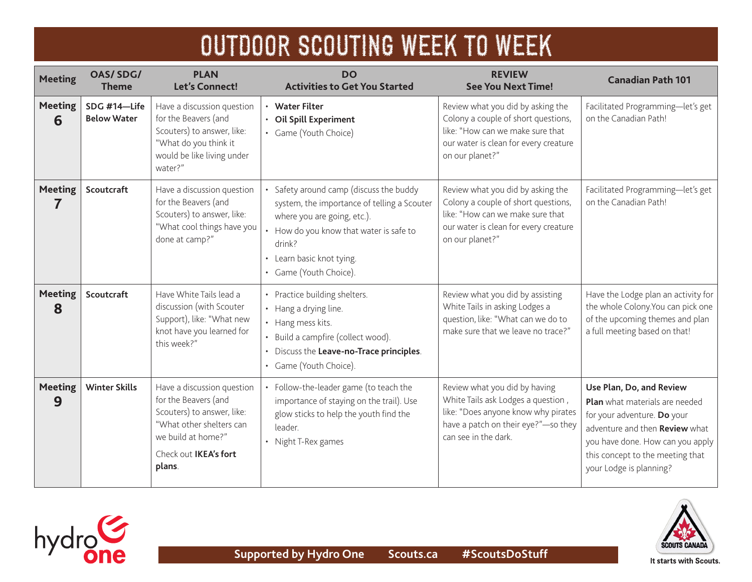| OUTDOOR SCOUTING WEEK TO WEEK |  |  |  |
|-------------------------------|--|--|--|
|-------------------------------|--|--|--|

| <b>Meeting</b>      | <b>OAS/SDG/</b><br><b>Theme</b>    | <b>PLAN</b><br><b>Let's Connect!</b>                                                                                                                                  | <b>DO</b><br><b>Activities to Get You Started</b>                                                                                                                                                                                        | <b>REVIEW</b><br><b>See You Next Time!</b>                                                                                                                                | <b>Canadian Path 101</b>                                                                                                                                                                                                       |
|---------------------|------------------------------------|-----------------------------------------------------------------------------------------------------------------------------------------------------------------------|------------------------------------------------------------------------------------------------------------------------------------------------------------------------------------------------------------------------------------------|---------------------------------------------------------------------------------------------------------------------------------------------------------------------------|--------------------------------------------------------------------------------------------------------------------------------------------------------------------------------------------------------------------------------|
| <b>Meeting</b><br>6 | SDG #14-Life<br><b>Below Water</b> | Have a discussion question<br>for the Beavers (and<br>Scouters) to answer, like:<br>"What do you think it<br>would be like living under<br>water?"                    | <b>Water Filter</b><br>$\bullet$<br>Oil Spill Experiment<br>Game (Youth Choice)                                                                                                                                                          | Review what you did by asking the<br>Colony a couple of short questions,<br>like: "How can we make sure that<br>our water is clean for every creature<br>on our planet?"  | Facilitated Programming-let's get<br>on the Canadian Path!                                                                                                                                                                     |
| <b>Meeting</b><br>7 | Scoutcraft                         | Have a discussion question<br>for the Beavers (and<br>Scouters) to answer, like:<br>"What cool things have you<br>done at camp?"                                      | Safety around camp (discuss the buddy<br>system, the importance of telling a Scouter<br>where you are going, etc.).<br>How do you know that water is safe to<br>drink?<br>Learn basic knot tying.<br>$\bullet$<br>• Game (Youth Choice). | Review what you did by asking the<br>Colony a couple of short questions,<br>like: "How can we make sure that<br>our water is clean for every creature<br>on our planet?"  | Facilitated Programming-let's get<br>on the Canadian Path!                                                                                                                                                                     |
| <b>Meeting</b><br>8 | Scoutcraft                         | Have White Tails lead a<br>discussion (with Scouter<br>Support), like: "What new<br>knot have you learned for<br>this week?"                                          | Practice building shelters.<br>• Hang a drying line.<br>Hang mess kits.<br>Build a campfire (collect wood).<br>Discuss the Leave-no-Trace principles.<br>• Game (Youth Choice).                                                          | Review what you did by assisting<br>White Tails in asking Lodges a<br>question, like: "What can we do to<br>make sure that we leave no trace?"                            | Have the Lodge plan an activity for<br>the whole Colony. You can pick one<br>of the upcoming themes and plan<br>a full meeting based on that!                                                                                  |
| <b>Meeting</b><br>9 | <b>Winter Skills</b>               | Have a discussion question<br>for the Beavers (and<br>Scouters) to answer, like:<br>"What other shelters can<br>we build at home?"<br>Check out IKEA's fort<br>plans. | Follow-the-leader game (to teach the<br>importance of staying on the trail). Use<br>glow sticks to help the youth find the<br>leader.<br>Night T-Rex games                                                                               | Review what you did by having<br>White Tails ask Lodges a question,<br>like: "Does anyone know why pirates<br>have a patch on their eye?"-so they<br>can see in the dark. | Use Plan, Do, and Review<br>Plan what materials are needed<br>for your adventure. Do your<br>adventure and then Review what<br>you have done. How can you apply<br>this concept to the meeting that<br>your Lodge is planning? |



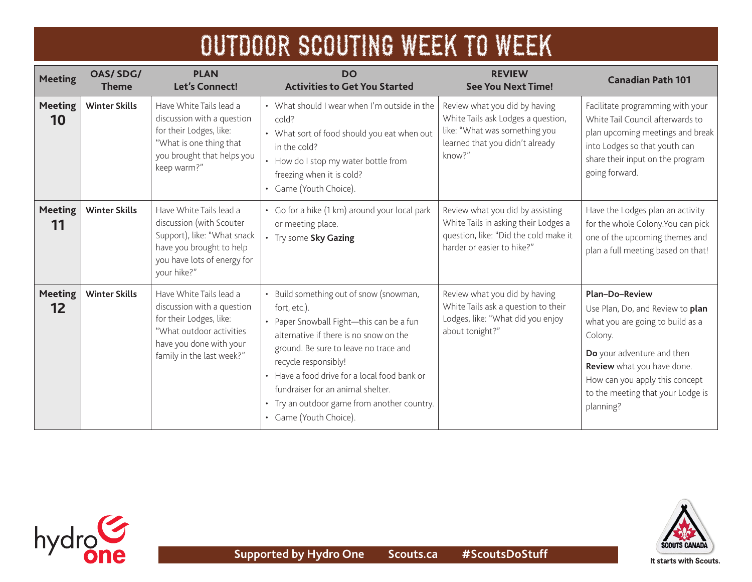| <b>Meeting</b>       | <b>OAS/SDG/</b><br>Theme | <b>PLAN</b><br><b>Let's Connect!</b>                                                                                                                                 | <b>DO</b><br><b>Activities to Get You Started</b>                                                                                                                                                                                                                                                                                                                            | <b>REVIEW</b><br><b>See You Next Time!</b>                                                                                                        | <b>Canadian Path 101</b>                                                                                                                                                                                                                                 |
|----------------------|--------------------------|----------------------------------------------------------------------------------------------------------------------------------------------------------------------|------------------------------------------------------------------------------------------------------------------------------------------------------------------------------------------------------------------------------------------------------------------------------------------------------------------------------------------------------------------------------|---------------------------------------------------------------------------------------------------------------------------------------------------|----------------------------------------------------------------------------------------------------------------------------------------------------------------------------------------------------------------------------------------------------------|
| <b>Meeting</b><br>10 | <b>Winter Skills</b>     | Have White Tails lead a<br>discussion with a question<br>for their Lodges, like:<br>"What is one thing that<br>you brought that helps you<br>keep warm?"             | • What should I wear when I'm outside in the<br>cold?<br>• What sort of food should you eat when out<br>in the cold?<br>• How do I stop my water bottle from<br>freezing when it is cold?<br>• Game (Youth Choice).                                                                                                                                                          | Review what you did by having<br>White Tails ask Lodges a question,<br>like: "What was something you<br>learned that you didn't already<br>know?" | Facilitate programming with your<br>White Tail Council afterwards to<br>plan upcoming meetings and break<br>into Lodges so that youth can<br>share their input on the program<br>going forward.                                                          |
| <b>Meeting</b><br>11 | <b>Winter Skills</b>     | Have White Tails lead a<br>discussion (with Scouter<br>Support), like: "What snack<br>have you brought to help<br>you have lots of energy for<br>your hike?"         | • Go for a hike (1 km) around your local park<br>or meeting place.<br>• Try some Sky Gazing                                                                                                                                                                                                                                                                                  | Review what you did by assisting<br>White Tails in asking their Lodges a<br>question, like: "Did the cold make it<br>harder or easier to hike?"   | Have the Lodges plan an activity<br>for the whole Colony. You can pick<br>one of the upcoming themes and<br>plan a full meeting based on that!                                                                                                           |
| <b>Meeting</b><br>12 | <b>Winter Skills</b>     | Have White Tails lead a<br>discussion with a question<br>for their Lodges, like:<br>"What outdoor activities<br>have you done with your<br>family in the last week?" | • Build something out of snow (snowman,<br>fort, etc.).<br>• Paper Snowball Fight-this can be a fun<br>alternative if there is no snow on the<br>ground. Be sure to leave no trace and<br>recycle responsibly!<br>• Have a food drive for a local food bank or<br>fundraiser for an animal shelter.<br>• Try an outdoor game from another country.<br>• Game (Youth Choice). | Review what you did by having<br>White Tails ask a question to their<br>Lodges, like: "What did you enjoy<br>about tonight?"                      | <b>Plan-Do-Review</b><br>Use Plan, Do, and Review to plan<br>what you are going to build as a<br>Colony.<br>Do your adventure and then<br>Review what you have done.<br>How can you apply this concept<br>to the meeting that your Lodge is<br>planning? |



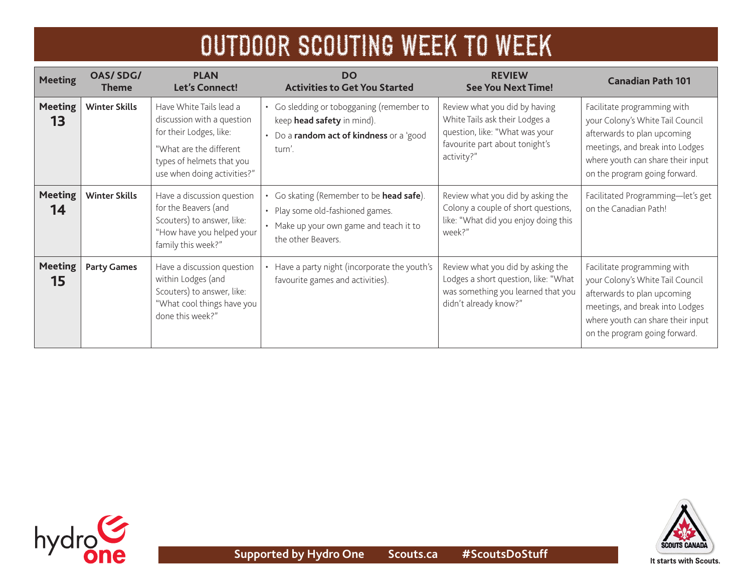| <b>Meeting</b>       | OAS/SDG/<br><b>Theme</b> | <b>PLAN</b><br>Let's Connect!                                                                                                                                           | <b>DO</b><br><b>Activities to Get You Started</b>                                                                                           | <b>REVIEW</b><br><b>See You Next Time!</b>                                                                                                        | <b>Canadian Path 101</b>                                                                                                                                                                                |
|----------------------|--------------------------|-------------------------------------------------------------------------------------------------------------------------------------------------------------------------|---------------------------------------------------------------------------------------------------------------------------------------------|---------------------------------------------------------------------------------------------------------------------------------------------------|---------------------------------------------------------------------------------------------------------------------------------------------------------------------------------------------------------|
| <b>Meeting</b><br>13 | <b>Winter Skills</b>     | Have White Tails lead a<br>discussion with a question<br>for their Lodges, like:<br>"What are the different<br>types of helmets that you<br>use when doing activities?" | • Go sledding or tobogganing (remember to<br>keep head safety in mind).<br>• Do a random act of kindness or a 'good<br>turn'.               | Review what you did by having<br>White Tails ask their Lodges a<br>question, like: "What was your<br>favourite part about tonight's<br>activity?" | Facilitate programming with<br>your Colony's White Tail Council<br>afterwards to plan upcoming<br>meetings, and break into Lodges<br>where youth can share their input<br>on the program going forward. |
| <b>Meeting</b><br>14 | <b>Winter Skills</b>     | Have a discussion question<br>for the Beavers (and<br>Scouters) to answer, like:<br>"How have you helped your<br>family this week?"                                     | Go skating (Remember to be head safe).<br>• Play some old-fashioned games.<br>• Make up your own game and teach it to<br>the other Beavers. | Review what you did by asking the<br>Colony a couple of short questions,<br>like: "What did you enjoy doing this<br>week?"                        | Facilitated Programming-let's get<br>on the Canadian Path!                                                                                                                                              |
| <b>Meeting</b><br>15 | <b>Party Games</b>       | Have a discussion question<br>within Lodges (and<br>Scouters) to answer, like:<br>"What cool things have you<br>done this week?"                                        | Have a party night (incorporate the youth's<br>favourite games and activities).                                                             | Review what you did by asking the<br>Lodges a short question, like: "What<br>was something you learned that you<br>didn't already know?"          | Facilitate programming with<br>your Colony's White Tail Council<br>afterwards to plan upcoming<br>meetings, and break into Lodges<br>where youth can share their input<br>on the program going forward. |

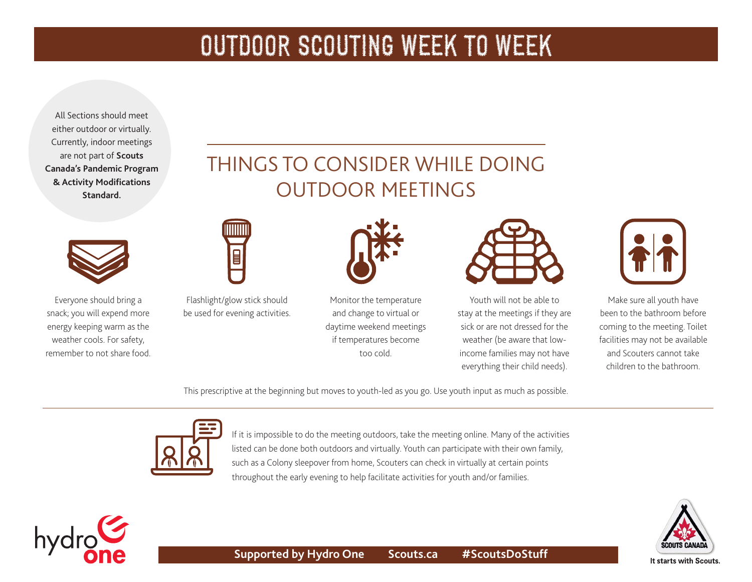All Sections should meet either outdoor or virtually. Currently, indoor meetings are not part of **Scouts Canada's [Pandemic Program](https://www.scouts.ca/resources/bpp/policies/pandemic-program-modification-standards.html)  [& Activity Modifications](https://www.scouts.ca/resources/bpp/policies/pandemic-program-modification-standards.html)  [Standard](https://www.scouts.ca/resources/bpp/policies/pandemic-program-modification-standards.html).** 



Everyone should bring a snack; you will expend more energy keeping warm as the weather cools. For safety, remember to not share food.

hydro

### THINGS TO CONSIDER WHILE DOING OUTDOOR MEETINGS



Flashlight/glow stick should be used for evening activities.

 $\begin{matrix} \Box \end{matrix}$ 



Monitor the temperature and change to virtual or daytime weekend meetings if temperatures become too cold.



Youth will not be able to stay at the meetings if they are sick or are not dressed for the weather (be aware that lowincome families may not have everything their child needs).



Make sure all youth have been to the bathroom before coming to the meeting. Toilet facilities may not be available and Scouters cannot take children to the bathroom.

This prescriptive at the beginning but moves to youth-led as you go. Use youth input as much as possible.



If it is impossible to do the meeting outdoors, take the meeting online. Many of the activities listed can be done both outdoors and virtually. Youth can participate with their own family, such as a Colony sleepover from home, Scouters can check in virtually at certain points throughout the early evening to help facilitate activities for youth and/or families.

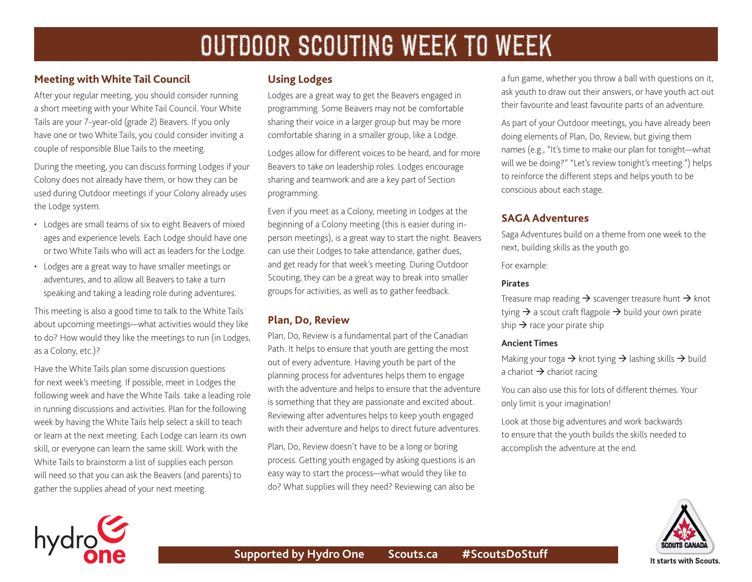#### **Meeting with White Tail Council**

After your regular meeting, you should consider running a short meeting with your White Tail Council. Your White Tails are your 7-year-old (grade 2) Beavers. If you only have one or two White Tails, you could consider inviting a couple of responsible Blue Tails to the meeting.

During the meeting, you can discuss forming Lodges if your Colony does not already have them, or how they can be used during Outdoor meetings if your Colony already uses the Lodge system.

- Lodges are small teams of six to eight Beavers of mixed ages and experience levels. Each Lodge should have one or two White Tails who will act as leaders for the Lodge.
- Lodges are a great way to have smaller meetings or adventures, and to allow all Beavers to take a turn speaking and taking a leading role during adventures.

This meeting is also a good time to talk to the White Tails about upcoming meetings—what activities would they like to do? How would they like the meetings to run (in Lodges, as a Colony, etc.)?

Have the White Tails plan some discussion questions for next week's meeting. If possible, meet in Lodges the following week and have the White Tails take a leading role in running discussions and activities. Plan for the following week by having the White Tails help select a skill to teach or learn at the next meeting. Each Lodge can learn its own skill, or everyone can learn the same skill. Work with the White Tails to brainstorm a list of supplies each person will need so that you can ask the Beavers (and parents) to gather the supplies ahead of your next meeting.

#### **Using Lodges**

Lodges are a great way to get the Beavers engaged in programming. Some Beavers may not be comfortable sharing their voice in a larger group but may be more comfortable sharing in a smaller group, like a Lodge.

Lodges allow for different voices to be heard, and for more Beavers to take on leadership roles. Lodges encourage sharing and teamwork and are a key part of Section programming.

Even if you meet as a Colony, meeting in Lodges at the beginning of a Colony meeting (this is easier during inperson meetings), is a great way to start the night. Beavers can use their Lodges to take attendance, gather dues, and get ready for that week's meeting. During Outdoor Scouting, they can be a great way to break into smaller groups for activities, as well as to gather feedback.

#### **Plan, Do, Review**

Plan, Do, Review is a fundamental part of the Canadian Path. It helps to ensure that youth are getting the most out of every adventure. Having youth be part of the planning process for adventures helps them to engage with the adventure and helps to ensure that the adventure is something that they are passionate and excited about. Reviewing after adventures helps to keep youth engaged with their adventure and helps to direct future adventures.

Plan, Do, Review doesn't have to be a long or boring process. Getting youth engaged by asking questions is an easy way to start the process—what would they like to do? What supplies will they need? Reviewing can also be

a fun game, whether you throw a ball with questions on it, ask youth to draw out their answers, or have youth act out their favourite and least favourite parts of an adventure.

As part of your Outdoor meetings, you have already been doing elements of Plan, Do, Review, but giving them names (e.g., "It's time to make our plan for tonight—what will we be doing?" "Let's review tonight's meeting.") helps to reinforce the different steps and helps youth to be conscious about each stage.

#### **SAGA Adventures**

Saga Adventures build on a theme from one week to the next, building skills as the youth go.

For example:

#### **Pirates**

Treasure map reading  $\rightarrow$  scavenger treasure hunt  $\rightarrow$  knot tying  $\rightarrow$  a scout craft flagpole  $\rightarrow$  build your own pirate ship  $\rightarrow$  race your pirate ship

#### **Ancient Times**

Making your toga  $\rightarrow$  knot tying  $\rightarrow$  lashing skills  $\rightarrow$  build a chariot  $\rightarrow$  chariot racing

You can also use this for lots of different themes. Your only limit is your imagination!

Look at those big adventures and work backwards to ensure that the youth builds the skills needed to accomplish the adventure at the end.



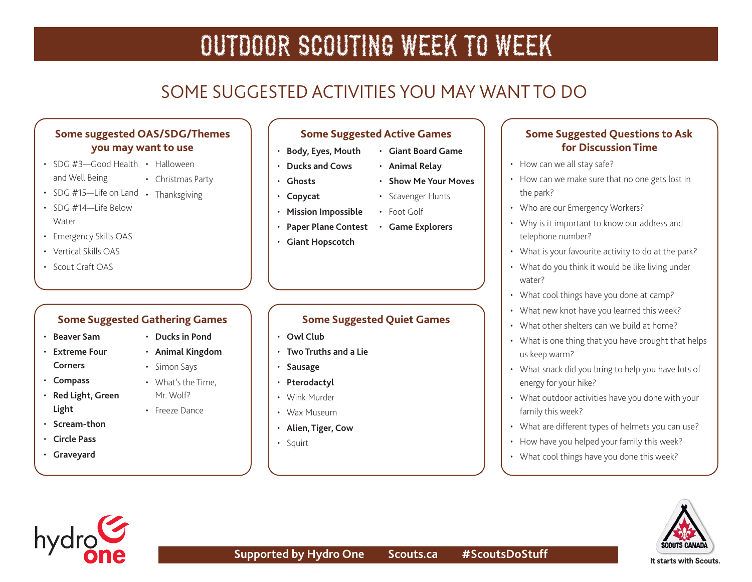### SOME SUGGESTED ACTIVITIES YOU MAY WANT TO DO

#### **Some suggested OAS/SDG/Themes you may want to use**

- SDG #3-Good Health Halloween and Well Being • Christmas Party
- SDG #15-Life on Land Thanksgiving
- $\cdot$  SDG #14-I ife Below **Water**
- Emergency Skills OAS
- Vertical Skills OAS
- Scout Craft OAS

#### **Some Suggested Gathering Games**

- **[Beaver Sam](http://greatcampgames.ca/wall-to-wall-games/beaver-sam/)**
- **[Extreme Four](http://greatcampgames.ca/wall-to-wall-games/extreme-4-corners/) [Corners](http://greatcampgames.ca/wall-to-wall-games/extreme-4-corners/)**
- **[Compass](http://greatcampgames.ca/wall-to-wall-games/compass/)**
- **[Red Light, Green](http://greatcampgames.ca/active-games/red-light-green-light/)  [Light](http://greatcampgames.ca/active-games/red-light-green-light/)**
- **[Scream-thon](http://greatcampgames.ca/active-games/scream-thon/)**
- **[Circle Pass](http://greatcampgames.ca/active-games/circle-pass/)**
- **[Graveyard](http://greatcampgames.ca/active-games/graveyard/)**
- - **[Animal Kingdom](https://www.asphaltgreen.org/blog/rep-game-of-the-month-animal-kingdom)**
	-
	- What's the Time, Mr. Wolf?
	- Freeze Dance
- **Some Suggested Active Games** • **[Body, Eyes, Mouth](http://greatcampgames.ca/active-games/body-eyes-mouth/)** • **[Giant Board Game](http://greatcampgames.ca/special-games/giant-board-game/)**
- **[Ducks and Cows](http://greatcampgames.ca/silly-games/ducks-cows/)**
- **[Ghosts](http://greatcampgames.ca/silly-games/ghosts/)**
- **[Copycat](http://greatcampgames.ca/silly-games/copy-cat/)**
- **[Mission Impossible](http://greatcampgames.ca/special-games/mission-impossible/)**
- **[Paper Plane Contest](http://greatcampgames.ca/craft-games/paper-airplane-contest/) [Game Explorers](https://asphaltgreen.org/blog/rep-game-explorers/)**
- **[Giant Hopscotch](http://greatcampgames.ca/craft-games/giant-hopscotch/)**

### **Some Suggested Quiet Games**

- **[Owl Club](http://greatcampgames.ca/tricky-games/owl-club/)**
- **[Two Truths and a Lie](http://greatcampgames.ca/circle-games/two-truths-lie/)**
- **[Sausage](http://greatcampgames.ca/silly-games/sausage/)**
- **[Pterodactyl](http://greatcampgames.ca/silly-games/pterodactyl/)**
- Wink Murder
- Wax Museum
- **[Alien, Tiger, Cow](https://asphaltgreen.org/blog/rep-game-alien-tiger-cow/)**
- Squirt
- **Some Suggested Questions to Ask for Discussion Time**
- How can we all stay safe?
- How can we make sure that no one gets lost in the park?
- Who are our Emergency Workers?
- Why is it important to know our address and telephone number?
- What is your favourite activity to do at the park?
- What do you think it would be like living under water?
- What cool things have you done at camp?
- What new knot have you learned this week?
- What other shelters can we build at home?
- What is one thing that you have brought that helps us keep warm?
- What snack did you bring to help you have lots of energy for your hike?
- What outdoor activities have you done with your family this week?
- What are different types of helmets you can use?
- How have you helped your family this week?
- What cool things have you done this week?





- **[Animal Relay](https://asphaltgreen.org/blog/rep-game-animal-relay/)** • **[Show Me Your Moves](https://asphaltgreen.org/blog/rep-game-show-me-your-moves)** • Scavenger Hunts
- 
- Foot Golf
	-

- **[Ducks in Pond](http://greatcampgames.ca/active-games/ducks-in-pond/)**
	-
	-
	- Simon Says
	-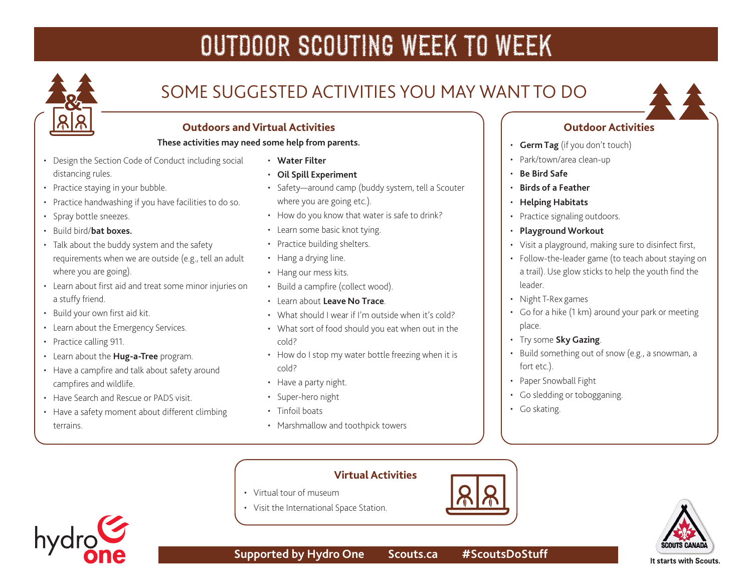

### SOME SUGGESTED ACTIVITIES YOU MAY WANT TO DO



#### **Outdoors and Virtual Activities**

#### **These activities may need some help from parents.**

- Design the Section Code of Conduct including social distancing rules.
- Practice staying in your bubble.
- Practice handwashing if you have facilities to do so.
- Spray bottle sneezes.
- Build bird/**[bat boxes.](https://scoutsca.s3.amazonaws.com/2020/08/tc-build-bat-boxes.pdf)**
- Talk about the buddy system and the safety requirements when we are outside (e.g., tell an adult where you are going).
- Learn about first aid and treat some minor injuries on a stuffy friend.
- Build your own first aid kit.
- Learn about the Emergency Services.
- Practice calling 911.
- Learn about the **[Hug-a-Tree](https://www.adventuresmart.ca/kids/)** program.
- Have a campfire and talk about safety around campfires and wildlife.
- Have Search and Rescue or PADS visit.
- Have a safety moment about different climbing terrains.
- **[Water Filter](https://www.scouts.ca/resources/activity-finder/activity-finder/water-filter.html)**
- **[Oil Spill Experiment](https://www.scouts.ca/resources/activity-finder/activity-finder/oil-spill-experiment.html)**
- Safety—around camp (buddy system, tell a Scouter where you are going etc.).
- How do you know that water is safe to drink?
- Learn some basic knot tying.
- Practice building shelters.
- Hang a drying line.
- Hang our mess kits.
- Build a campfire (collect wood).
- Learn about **[Leave No Trace](https://www.leavenotrace.ca/home)**.
- What should I wear if I'm outside when it's cold?
- What sort of food should you eat when out in the cold?
- How do I stop my water bottle freezing when it is cold?
- Have a party night.

• Visit the International Space Station.

- Super-hero night
- Tinfoil boats
- Marshmallow and toothpick towers

#### **Outdoor Activities**

- **[Germ Tag](https://www.scouts.ca/resources/activity-finder/activity-finder/germs.html)** (if you don't touch)
- Park/town/area clean-up
- **[Be Bird Safe](https://www.scouts.ca/resources/activity-finder/activity-finder/be-bird-safe.html)**
- **[Birds of a Feather](https://www.scouts.ca/resources/activity-finder/activity-finder/birds-of-a-feather.html)**
- **[Helping Habitats](https://www.scouts.ca/resources/activity-finder/activity-finder/helping-habitats.html)**
- Practice signaling outdoors.
- **[Playground Workout](https://www.scouts.ca/resources/activity-finder/activity-finder/the-playground-workout.html)**
- Visit a playground, making sure to disinfect first,
- Follow-the-leader game (to teach about staying on a trail). Use glow sticks to help the youth find the leader.
- Night T-Rex games
- Go for a hike (1 km) around your park or meeting place.
- Try some **[Sky Gazing](https://www.scouts.ca/resources/activity-finder/activity-finder/stargazing.html)**.
- Build something out of snow (e.g., a snowman, a fort etc.).
- Paper Snowball Fight
- Go sledding or tobogganing.
- Go skating.







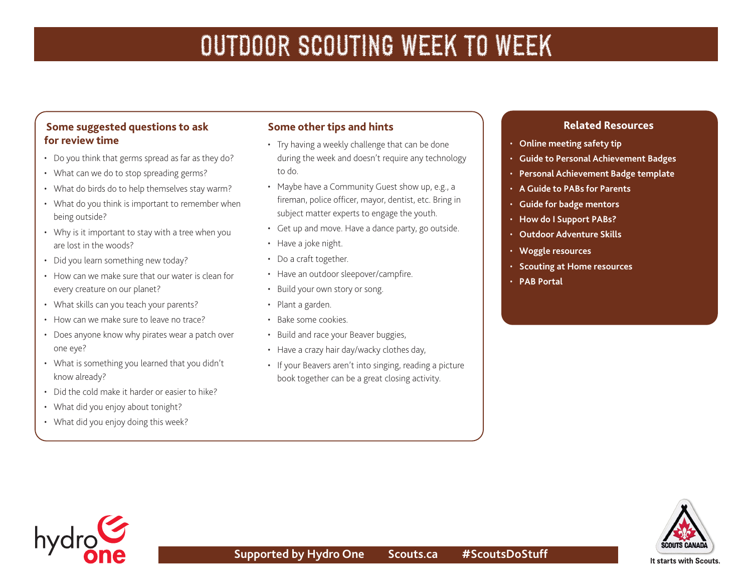#### **Some suggested questions to ask for review time**

- Do you think that germs spread as far as they do?
- What can we do to stop spreading germs?
- What do birds do to help themselves stay warm?
- What do you think is important to remember when being outside?
- Why is it important to stay with a tree when you are lost in the woods?
- Did you learn something new today?
- How can we make sure that our water is clean for every creature on our planet?
- What skills can you teach your parents?
- How can we make sure to leave no trace?
- Does anyone know why pirates wear a patch over one eye?
- What is something you learned that you didn't know already?
- Did the cold make it harder or easier to hike?
- What did you enjoy about tonight?
- What did you enjoy doing this week?

#### **Some other tips and hints**

- Try having a weekly challenge that can be done during the week and doesn't require any technology to do.
- Maybe have a Community Guest show up, e.g., a fireman, police officer, mayor, dentist, etc. Bring in subject matter experts to engage the youth.
- Get up and move. Have a dance party, go outside.
- Have a joke night.
- Do a craft together.
- Have an outdoor sleepover/campfire.
- Build your own story or song.
- Plant a garden.
- Bake some cookies.
- Build and race your Beaver buggies,
- Have a crazy hair day/wacky clothes day,
- If your Beavers aren't into singing, reading a picture book together can be a great closing activity.

#### **Related Resources**

- **[Online meeting safety tip](https://scoutsca.s3.amazonaws.com/2020/04/virtual-scouting-safety.pdf)**
- **[Guide to Personal Achievement Badges](https://scoutsca.s3.amazonaws.com/2019/02/bs-pab-guide.pdf)**
- **[Personal Achievement Badge template](https://scoutsca.s3.amazonaws.com/2019/02/bs-pab-template.pdf)**
- **[A Guide to PABs for Parents](https://scoutsca.s3.amazonaws.com/2019/02/guide-to-pab-for-parents.pdf)**
- **[Guide for badge mentors](https://scoutsca.s3.amazonaws.com/2019/01/st-pdr-guide-for-badge-mentors-pab.pdf)**
- **[How do I Support PABs?](https://scoutsca.s3.amazonaws.com/2019/01/st28-pdr-how-do-i-support-pa-badges.pdf)**
- **[Outdoor Adventure Skills](https://www.scouts.ca/programs/canadian-path/about/outdoor-adventure-skills.html)**
- **[Woggle resources](https://www.scouts.ca/news-and-events/newsletter-archives.html)**
- **[Scouting at Home resources](https://www.scouts.ca/programs/scouting-at-home/overview.html)**
- **[PAB Portal](https://www.scouts.ca/programs/canadian-path/personal-achievement-badges/overview.html)**



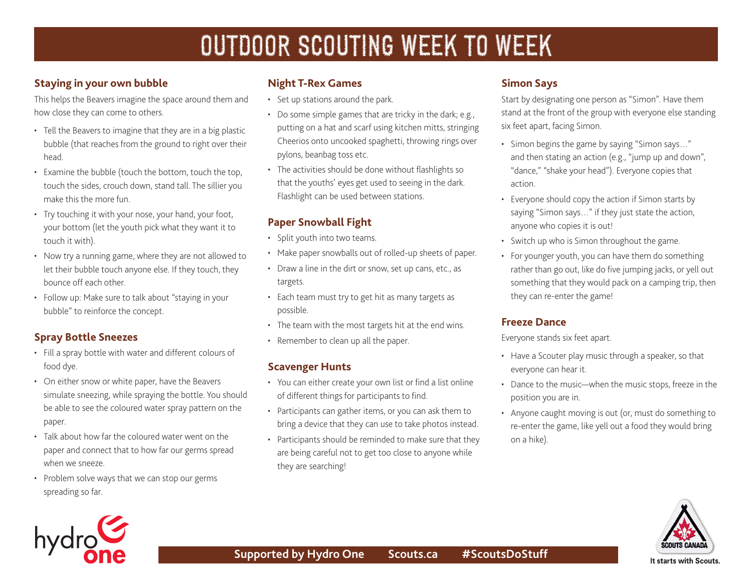#### **Staying in your own bubble**

This helps the Beavers imagine the space around them and how close they can come to others.

- Tell the Beavers to imagine that they are in a big plastic bubble (that reaches from the ground to right over their head.
- Examine the bubble (touch the bottom, touch the top, touch the sides, crouch down, stand tall. The sillier you make this the more fun.
- Try touching it with your nose, your hand, your foot, your bottom (let the youth pick what they want it to touch it with).
- Now try a running game, where they are not allowed to let their bubble touch anyone else. If they touch, they bounce off each other.
- Follow up: Make sure to talk about "staying in your bubble" to reinforce the concept.

#### **Spray Bottle Sneezes**

- Fill a spray bottle with water and different colours of food dye.
- On either snow or white paper, have the Beavers simulate sneezing, while spraying the bottle. You should be able to see the coloured water spray pattern on the paper.
- Talk about how far the coloured water went on the paper and connect that to how far our germs spread when we sneeze.
- Problem solve ways that we can stop our germs spreading so far.

#### **Night T-Rex Games**

- Set up stations around the park.
- Do some simple games that are tricky in the dark; e.g., putting on a hat and scarf using kitchen mitts, stringing Cheerios onto uncooked spaghetti, throwing rings over pylons, beanbag toss etc.
- The activities should be done without flashlights so that the youths' eyes get used to seeing in the dark. Flashlight can be used between stations.

#### **Paper Snowball Fight**

- Split youth into two teams.
- Make paper snowballs out of rolled-up sheets of paper.
- Draw a line in the dirt or snow, set up cans, etc., as targets.
- Each team must try to get hit as many targets as possible.
- The team with the most targets hit at the end wins.
- Remember to clean up all the paper.

#### **Scavenger Hunts**

- You can either create your own list or find a list online of different things for participants to find.
- Participants can gather items, or you can ask them to bring a device that they can use to take photos instead.
- Participants should be reminded to make sure that they are being careful not to get too close to anyone while they are searching!

#### **Simon Says**

Start by designating one person as "Simon". Have them stand at the front of the group with everyone else standing six feet apart, facing Simon.

- Simon begins the game by saying "Simon says…" and then stating an action (e.g., "jump up and down", "dance," "shake your head"). Everyone copies that action.
- Everyone should copy the action if Simon starts by saying "Simon says…" if they just state the action, anyone who copies it is out!
- Switch up who is Simon throughout the game.
- For younger youth, you can have them do something rather than go out, like do five jumping jacks, or yell out something that they would pack on a camping trip, then they can re-enter the game!

#### **Freeze Dance**

Everyone stands six feet apart.

- Have a Scouter play music through a speaker, so that everyone can hear it.
- Dance to the music—when the music stops, freeze in the position you are in.
- Anyone caught moving is out (or, must do something to re-enter the game, like yell out a food they would bring on a hike).